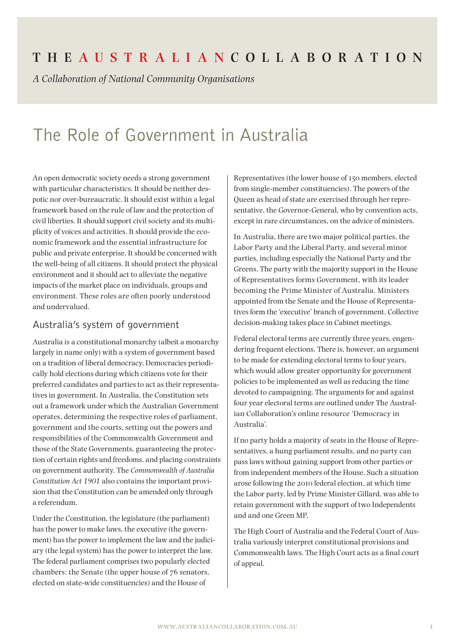## **The Aus t r a l i a n Coll a bor at ion**

*A Collaboration of National Community Organisations*

# The Role of Government in Australia

An open democratic society needs a strong government with particular characteristics. It should be neither despotic nor over-bureaucratic. It should exist within a legal framework based on the rule of law and the protection of civil liberties. It should support civil society and its multiplicity of voices and activities. It should provide the economic framework and the essential infrastructure for public and private enterprise. It should be concerned with the well-being of all citizens. It should protect the physical environment and it should act to alleviate the negative impacts of the market place on individuals, groups and environment. These roles are often poorly understood and undervalued.

#### Australia's system of government

Australia is a constitutional monarchy (albeit a monarchy largely in name only) with a system of government based on a tradition of liberal democracy. Democracies periodically hold elections during which citizens vote for their preferred candidates and parties to act as their representatives in government. In Australia, the Constitution sets out a framework under which the Australian Government operates, determining the respective roles of parliament, government and the courts, setting out the powers and responsibilities of the Commonwealth Government and those of the State Governments, guaranteeing the protection of certain rights and freedoms, and placing constraints on government authority. The *Commonwealth of Australia Constitution Act 1901* also contains the important provision that the Constitution can be amended only through a referendum.

Under the Constitution, the legislature (the parliament) has the power to make laws, the executive (the government) has the power to implement the law and the judiciary (the legal system) has the power to interpret the law. The federal parliament comprises two popularly elected chambers: the Senate (the upper house of 76 senators, elected on state-wide constituencies) and the House of

Representatives (the lower house of 150 members, elected from single-member constituencies). The powers of the Queen as head of state are exercised through her representative, the Governor-General, who by convention acts, except in rare circumstances, on the advice of ministers.

In Australia, there are two major political parties, the Labor Party and the Liberal Party, and several minor parties, including especially the National Party and the Greens. The party with the majority support in the House of Representatives forms Government, with its leader becoming the Prime Minister of Australia. Ministers appointed from the Senate and the House of Representatives form the 'executive' branch of government. Collective decision-making takes place in Cabinet meetings.

Federal electoral terms are currently three years, engendering frequent elections. There is, however, an argument to be made for extending electoral terms to four years, which would allow greater opportunity for government policies to be implemented as well as reducing the time devoted to campaigning. The arguments for and against four year electoral terms are outlined under The Australian Collaboration's online resource 'Democracy in Australia'.

If no party holds a majority of seats in the House of Representatives, a hung parliament results, and no party can pass laws without gaining support from other parties or from independent members of the House. Such a situation arose following the 2010 federal election, at which time the Labor party, led by Prime Minister Gillard, was able to retain government with the support of two Independents and and one Green MP.

The High Court of Australia and the Federal Court of Australia variously interpret constitutional provisions and Commonwealth laws. The High Court acts as a final court of appeal.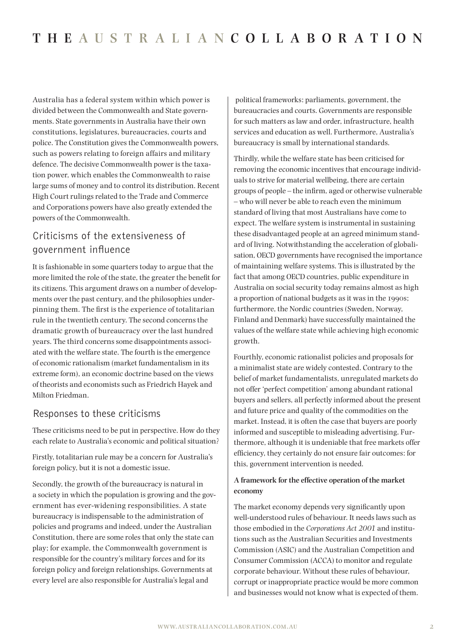Australia has a federal system within which power is divided between the Commonwealth and State governments. State governments in Australia have their own constitutions, legislatures, bureaucracies, courts and police. The Constitution gives the Commonwealth powers, such as powers relating to foreign affairs and military defence. The decisive Commonwealth power is the taxation power, which enables the Commonwealth to raise large sums of money and to control its distribution. Recent High Court rulings related to the Trade and Commerce and Corporations powers have also greatly extended the powers of the Commonwealth.

## Criticisms of the extensiveness of government influence

It is fashionable in some quarters today to argue that the more limited the role of the state, the greater the benefit for its citizens. This argument draws on a number of developments over the past century, and the philosophies underpinning them. The first is the experience of totalitarian rule in the twentieth century. The second concerns the dramatic growth of bureaucracy over the last hundred years. The third concerns some disappointments associated with the welfare state. The fourth is the emergence of economic rationalism (market fundamentalism in its extreme form), an economic doctrine based on the views of theorists and economists such as Friedrich Hayek and Milton Friedman.

#### Responses to these criticisms

These criticisms need to be put in perspective. How do they each relate to Australia's economic and political situation?

Firstly, totalitarian rule may be a concern for Australia's foreign policy, but it is not a domestic issue.

Secondly, the growth of the bureaucracy is natural in a society in which the population is growing and the government has ever-widening responsibilities. A state bureaucracy is indispensable to the administration of policies and programs and indeed, under the Australian Constitution, there are some roles that only the state can play; for example, the Commonwealth government is responsible for the country's military forces and for its foreign policy and foreign relationships. Governments at every level are also responsible for Australia's legal and

 political frameworks: parliaments, government, the bureaucracies and courts. Governments are responsible for such matters as law and order, infrastructure, health services and education as well. Furthermore, Australia's bureaucracy is small by international standards.

Thirdly, while the welfare state has been criticised for removing the economic incentives that encourage individuals to strive for material wellbeing, there are certain groups of people – the infirm, aged or otherwise vulnerable – who will never be able to reach even the minimum standard of living that most Australians have come to expect. The welfare system is instrumental in sustaining these disadvantaged people at an agreed minimum standard of living. Notwithstanding the acceleration of globalisation, OECD governments have recognised the importance of maintaining welfare systems. This is illustrated by the fact that among OECD countries, public expenditure in Australia on social security today remains almost as high a proportion of national budgets as it was in the 1990s; furthermore, the Nordic countries (Sweden, Norway, Finland and Denmark) have successfully maintained the values of the welfare state while achieving high economic growth.

Fourthly, economic rationalist policies and proposals for a minimalist state are widely contested. Contrary to the belief of market fundamentalists, unregulated markets do not offer 'perfect competition' among abundant rational buyers and sellers, all perfectly informed about the present and future price and quality of the commodities on the market. Instead, it is often the case that buyers are poorly informed and susceptible to misleading advertising. Furthermore, although it is undeniable that free markets offer efficiency, they certainly do not ensure fair outcomes: for this, government intervention is needed.

#### **A framework for the effective operation of the market economy**

The market economy depends very significantly upon well-understood rules of behaviour. It needs laws such as those embodied in the *Corporations Act 2001* and institutions such as the Australian Securities and Investments Commission (ASIC) and the Australian Competition and Consumer Commission (ACCA) to monitor and regulate corporate behaviour. Without these rules of behaviour, corrupt or inappropriate practice would be more common and businesses would not know what is expected of them.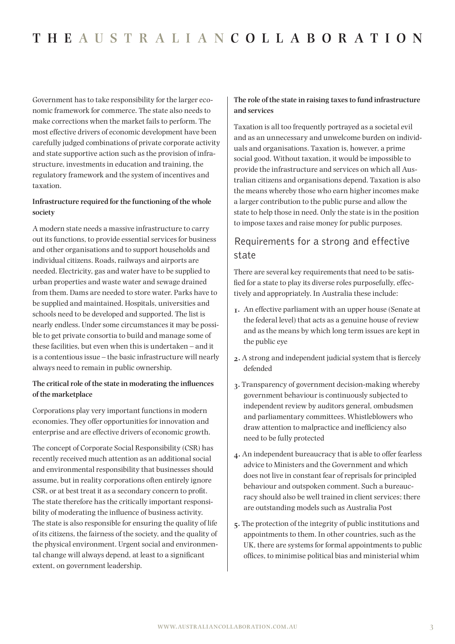Government has to take responsibility for the larger economic framework for commerce. The state also needs to make corrections when the market fails to perform. The most effective drivers of economic development have been carefully judged combinations of private corporate activity and state supportive action such as the provision of infrastructure, investments in education and training, the regulatory framework and the system of incentives and taxation.

#### **Infrastructure required for the functioning of the whole society**

A modern state needs a massive infrastructure to carry out its functions, to provide essential services for business and other organisations and to support households and individual citizens. Roads, railways and airports are needed. Electricity, gas and water have to be supplied to urban properties and waste water and sewage drained from them. Dams are needed to store water. Parks have to be supplied and maintained. Hospitals, universities and schools need to be developed and supported. The list is nearly endless. Under some circumstances it may be possible to get private consortia to build and manage some of these facilities, but even when this is undertaken – and it is a contentious issue – the basic infrastructure will nearly always need to remain in public ownership.

#### **The critical role of the state in moderating the influences of the marketplace**

Corporations play very important functions in modern economies. They offer opportunities for innovation and enterprise and are effective drivers of economic growth.

The concept of Corporate Social Responsibility (CSR) has recently received much attention as an additional social and environmental responsibility that businesses should assume, but in reality corporations often entirely ignore CSR, or at best treat it as a secondary concern to profit. The state therefore has the critically important responsibility of moderating the influence of business activity. The state is also responsible for ensuring the quality of life of its citizens, the fairness of the society, and the quality of the physical environment. Urgent social and environmental change will always depend, at least to a significant extent, on government leadership.

#### **The role of the state in raising taxes to fund infrastructure and services**

Taxation is all too frequently portrayed as a societal evil and as an unnecessary and unwelcome burden on individuals and organisations. Taxation is, however, a prime social good. Without taxation, it would be impossible to provide the infrastructure and services on which all Australian citizens and organisations depend. Taxation is also the means whereby those who earn higher incomes make a larger contribution to the public purse and allow the state to help those in need. Only the state is in the position to impose taxes and raise money for public purposes.

### Requirements for a strong and effective state

There are several key requirements that need to be satisfied for a state to play its diverse roles purposefully, effectively and appropriately. In Australia these include:

- **1.** An effective parliament with an upper house (Senate at the federal level) that acts as a genuine house of review and as the means by which long term issues are kept in the public eye
- **2.** A strong and independent judicial system that is fiercely defended
- **3.** Transparency of government decision-making whereby government behaviour is continuously subjected to independent review by auditors general, ombudsmen and parliamentary committees. Whistleblowers who draw attention to malpractice and inefficiency also need to be fully protected
- **4.** An independent bureaucracy that is able to offer fearless advice to Ministers and the Government and which does not live in constant fear of reprisals for principled behaviour and outspoken comment. Such a bureaucracy should also be well trained in client services; there are outstanding models such as Australia Post
- **5.** The protection of the integrity of public institutions and appointments to them. In other countries, such as the UK, there are systems for formal appointments to public offices, to minimise political bias and ministerial whim